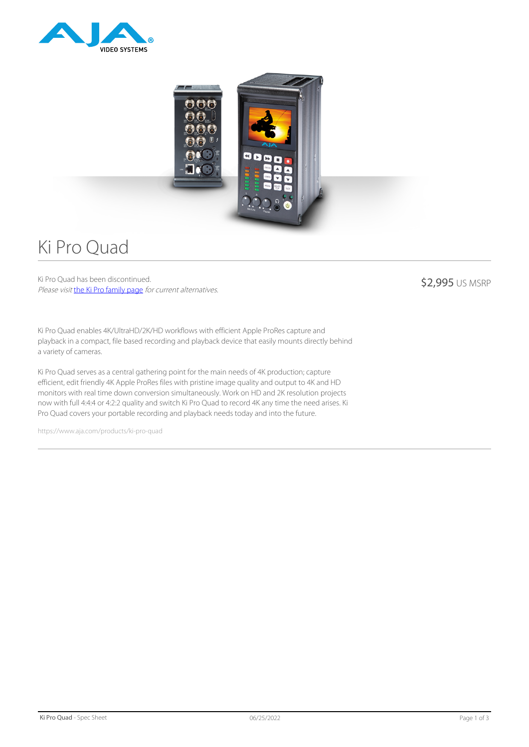



# Ki Pro Quad

Ki Pro Quad has been discontinued. Please visit [the Ki Pro family page](https://www.aja.com/family/ki-pro) for current alternatives.

\$2,995 US MSRP

Ki Pro Quad enables 4K/UltraHD/2K/HD workflows with efficient Apple ProRes capture and playback in a compact, file based recording and playback device that easily mounts directly behind a variety of cameras.

Ki Pro Quad serves as a central gathering point for the main needs of 4K production; capture efficient, edit friendly 4K Apple ProRes files with pristine image quality and output to 4K and HD monitors with real time down conversion simultaneously. Work on HD and 2K resolution projects now with full 4:4:4 or 4:2:2 quality and switch Ki Pro Quad to record 4K any time the need arises. Ki Pro Quad covers your portable recording and playback needs today and into the future.

https://www.aja.com/products/ki-pro-quad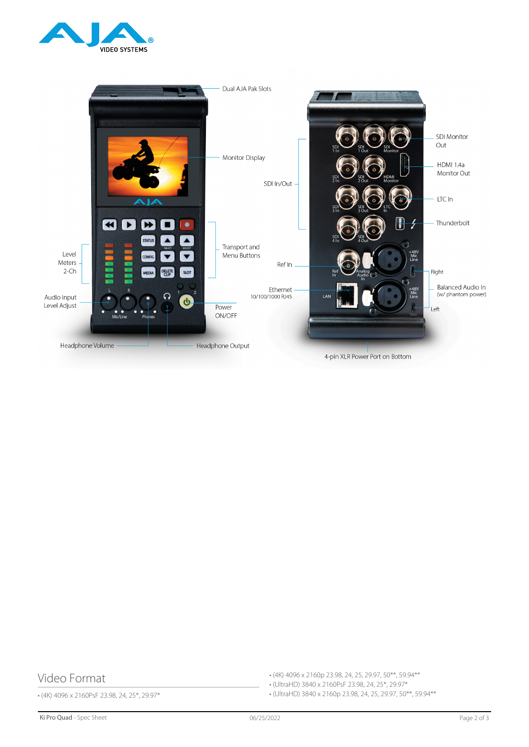



4-pin XLR Power Port on Bottom

# Video Format

• (4K) 4096 x 2160PsF 23.98, 24, 25\*, 29.97\*

• (4K) 4096 x 2160p 23.98, 24, 25, 29.97, 50\*\*, 59.94\*\*

• (UltraHD) 3840 x 2160PsF 23.98, 24, 25\*, 29.97\*

• (UltraHD) 3840 x 2160p 23.98, 24, 25, 29.97, 50\*\*, 59.94\*\*